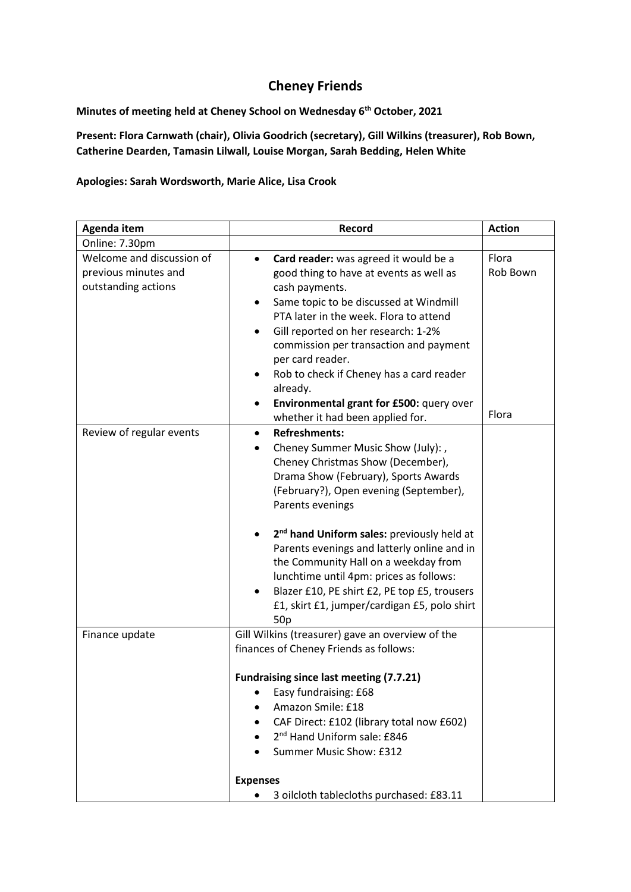## **Cheney Friends**

**Minutes of meeting held at Cheney School on Wednesday 6th October, 2021**

**Present: Flora Carnwath (chair), Olivia Goodrich (secretary), Gill Wilkins (treasurer), Rob Bown, Catherine Dearden, Tamasin Lilwall, Louise Morgan, Sarah Bedding, Helen White**

**Apologies: Sarah Wordsworth, Marie Alice, Lisa Crook**

| Agenda item                                                              | <b>Record</b>                                                                                                                                                                                                                                                                                                                                                                                                                                                                                                                                                             | <b>Action</b>     |
|--------------------------------------------------------------------------|---------------------------------------------------------------------------------------------------------------------------------------------------------------------------------------------------------------------------------------------------------------------------------------------------------------------------------------------------------------------------------------------------------------------------------------------------------------------------------------------------------------------------------------------------------------------------|-------------------|
| Online: 7.30pm                                                           |                                                                                                                                                                                                                                                                                                                                                                                                                                                                                                                                                                           |                   |
| Welcome and discussion of<br>previous minutes and<br>outstanding actions | Card reader: was agreed it would be a<br>$\bullet$<br>good thing to have at events as well as<br>cash payments.<br>Same topic to be discussed at Windmill<br>٠<br>PTA later in the week. Flora to attend<br>Gill reported on her research: 1-2%<br>commission per transaction and payment<br>per card reader.<br>Rob to check if Cheney has a card reader<br>already.<br>Environmental grant for £500: query over                                                                                                                                                         | Flora<br>Rob Bown |
| Review of regular events                                                 | whether it had been applied for.<br><b>Refreshments:</b><br>$\bullet$<br>Cheney Summer Music Show (July):,<br>٠<br>Cheney Christmas Show (December),<br>Drama Show (February), Sports Awards<br>(February?), Open evening (September),<br>Parents evenings<br>2 <sup>nd</sup> hand Uniform sales: previously held at<br>Parents evenings and latterly online and in<br>the Community Hall on a weekday from<br>lunchtime until 4pm: prices as follows:<br>Blazer £10, PE shirt £2, PE top £5, trousers<br>£1, skirt £1, jumper/cardigan £5, polo shirt<br>50 <sub>p</sub> | Flora             |
| Finance update                                                           | Gill Wilkins (treasurer) gave an overview of the<br>finances of Cheney Friends as follows:<br>Fundraising since last meeting (7.7.21)<br>Easy fundraising: £68<br>Amazon Smile: £18<br>CAF Direct: £102 (library total now £602)<br>2 <sup>nd</sup> Hand Uniform sale: £846<br>Summer Music Show: £312<br><b>Expenses</b><br>3 oilcloth tablecloths purchased: £83.11<br>$\bullet$                                                                                                                                                                                        |                   |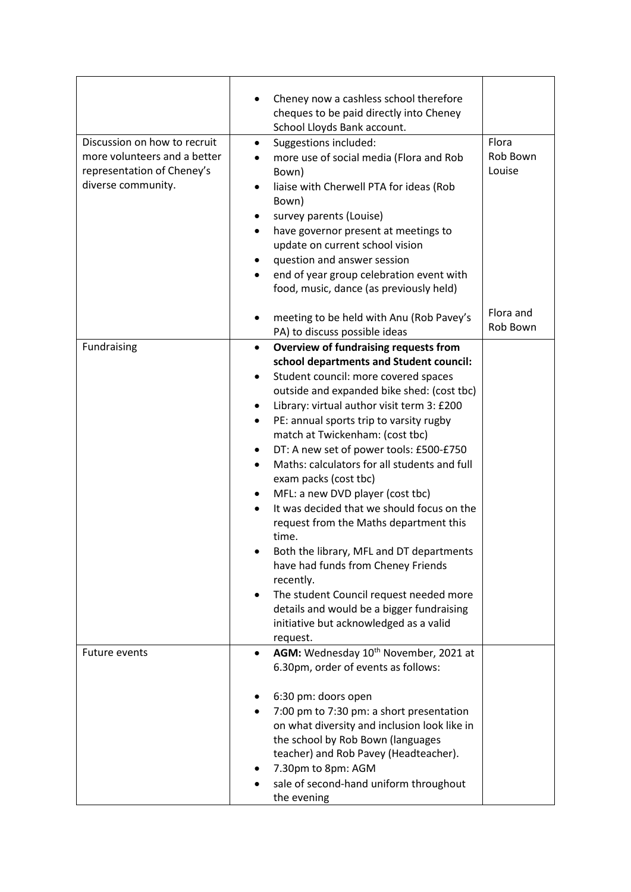|                              | Cheney now a cashless school therefore                                                    |           |
|------------------------------|-------------------------------------------------------------------------------------------|-----------|
|                              | cheques to be paid directly into Cheney                                                   |           |
|                              | School Lloyds Bank account.                                                               |           |
| Discussion on how to recruit | Suggestions included:<br>$\bullet$                                                        | Flora     |
| more volunteers and a better | more use of social media (Flora and Rob                                                   | Rob Bown  |
| representation of Cheney's   | Bown)                                                                                     | Louise    |
| diverse community.           | liaise with Cherwell PTA for ideas (Rob                                                   |           |
|                              | Bown)                                                                                     |           |
|                              | survey parents (Louise)                                                                   |           |
|                              | have governor present at meetings to<br>$\bullet$                                         |           |
|                              | update on current school vision                                                           |           |
|                              | question and answer session                                                               |           |
|                              | end of year group celebration event with<br>food, music, dance (as previously held)       |           |
|                              |                                                                                           |           |
|                              | meeting to be held with Anu (Rob Pavey's                                                  | Flora and |
|                              | PA) to discuss possible ideas                                                             | Rob Bown  |
| Fundraising                  | Overview of fundraising requests from<br>$\bullet$                                        |           |
|                              | school departments and Student council:                                                   |           |
|                              | Student council: more covered spaces<br>٠                                                 |           |
|                              | outside and expanded bike shed: (cost tbc)                                                |           |
|                              | Library: virtual author visit term 3: £200                                                |           |
|                              | PE: annual sports trip to varsity rugby<br>٠                                              |           |
|                              | match at Twickenham: (cost tbc)                                                           |           |
|                              | DT: A new set of power tools: £500-£750<br>٠                                              |           |
|                              | Maths: calculators for all students and full                                              |           |
|                              | exam packs (cost tbc)                                                                     |           |
|                              | MFL: a new DVD player (cost tbc)<br>٠                                                     |           |
|                              | It was decided that we should focus on the                                                |           |
|                              | request from the Maths department this                                                    |           |
|                              | time.                                                                                     |           |
|                              | Both the library, MFL and DT departments                                                  |           |
|                              | have had funds from Cheney Friends                                                        |           |
|                              | recently.                                                                                 |           |
|                              | The student Council request needed more<br>٠<br>details and would be a bigger fundraising |           |
|                              | initiative but acknowledged as a valid                                                    |           |
|                              | request.                                                                                  |           |
| <b>Future events</b>         | AGM: Wednesday 10 <sup>th</sup> November, 2021 at<br>$\bullet$                            |           |
|                              | 6.30pm, order of events as follows:                                                       |           |
|                              |                                                                                           |           |
|                              | 6:30 pm: doors open                                                                       |           |
|                              | 7:00 pm to 7:30 pm: a short presentation                                                  |           |
|                              | on what diversity and inclusion look like in                                              |           |
|                              | the school by Rob Bown (languages                                                         |           |
|                              | teacher) and Rob Pavey (Headteacher).                                                     |           |
|                              | 7.30pm to 8pm: AGM                                                                        |           |
|                              | sale of second-hand uniform throughout                                                    |           |
|                              | the evening                                                                               |           |